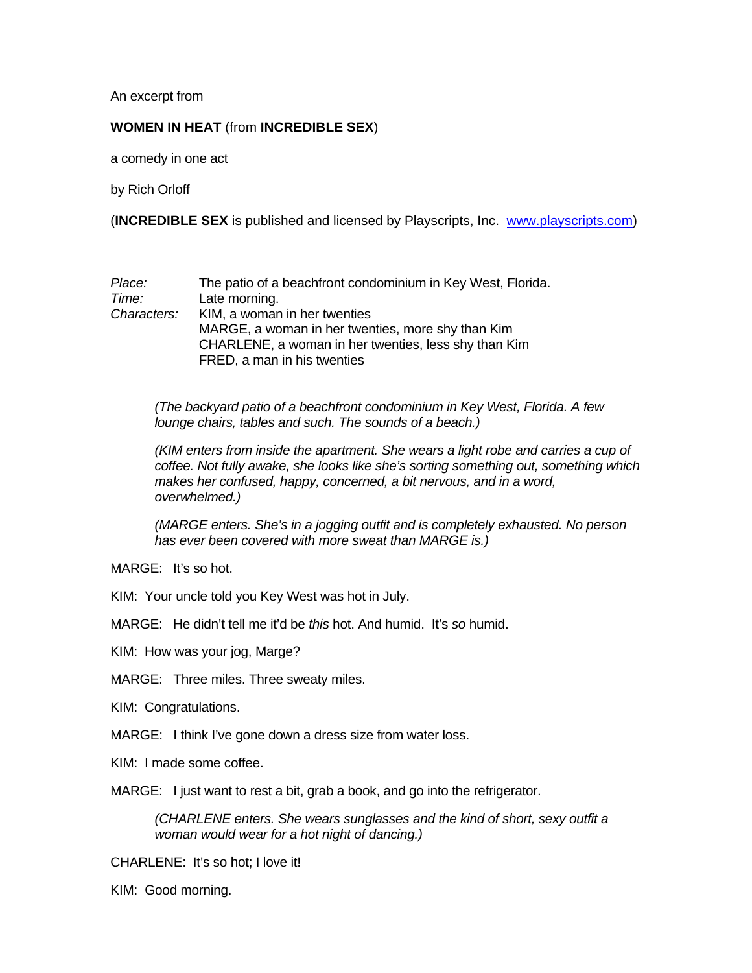An excerpt from

## **WOMEN IN HEAT** (from **INCREDIBLE SEX**)

a comedy in one act

by Rich Orloff

(**INCREDIBLE SEX** is published and licensed by Playscripts, Inc. [www.playscripts.com](http://www.playscripts.com/))

| Place:      | The patio of a beachfront condominium in Key West, Florida. |
|-------------|-------------------------------------------------------------|
| Time:       | Late morning.                                               |
| Characters: | KIM, a woman in her twenties                                |
|             | MARGE, a woman in her twenties, more shy than Kim           |
|             | CHARLENE, a woman in her twenties, less shy than Kim        |
|             | FRED, a man in his twenties                                 |

*(The backyard patio of a beachfront condominium in Key West, Florida. A few lounge chairs, tables and such. The sounds of a beach.)* 

*(KIM enters from inside the apartment. She wears a light robe and carries a cup of coffee. Not fully awake, she looks like she's sorting something out, something which makes her confused, happy, concerned, a bit nervous, and in a word, overwhelmed.)* 

*(MARGE enters. She's in a jogging outfit and is completely exhausted. No person has ever been covered with more sweat than MARGE is.)* 

MARGE: It's so hot.

KIM: Your uncle told you Key West was hot in July.

MARGE: He didn't tell me it'd be *this* hot. And humid. It's *so* humid.

KIM: How was your jog, Marge?

MARGE: Three miles. Three sweaty miles.

KIM: Congratulations.

MARGE: I think I've gone down a dress size from water loss.

KIM: I made some coffee.

MARGE: I just want to rest a bit, grab a book, and go into the refrigerator.

*(CHARLENE enters. She wears sunglasses and the kind of short, sexy outfit a woman would wear for a hot night of dancing.)* 

CHARLENE: It's so hot; I love it!

KIM: Good morning.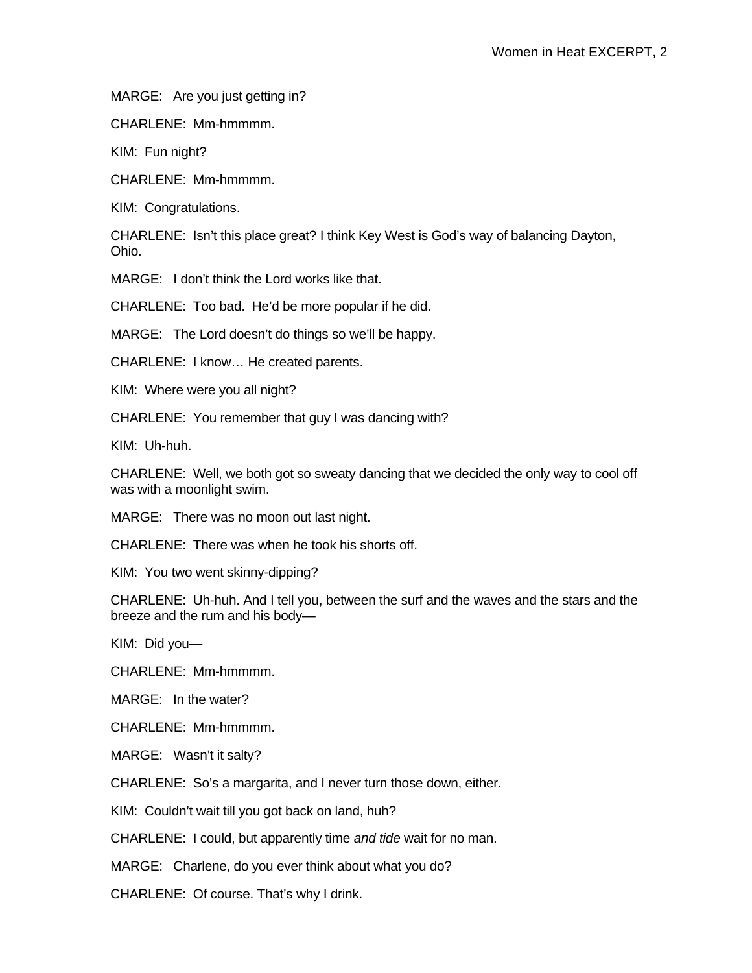MARGE: Are you just getting in?

CHARLENE: Mm-hmmmm.

KIM: Fun night?

CHARLENE: Mm-hmmmm.

KIM: Congratulations.

CHARLENE: Isn't this place great? I think Key West is God's way of balancing Dayton, Ohio.

MARGE: I don't think the Lord works like that.

CHARLENE: Too bad. He'd be more popular if he did.

MARGE: The Lord doesn't do things so we'll be happy.

CHARLENE: I know… He created parents.

KIM: Where were you all night?

CHARLENE: You remember that guy I was dancing with?

KIM: Uh-huh.

CHARLENE: Well, we both got so sweaty dancing that we decided the only way to cool off was with a moonlight swim.

MARGE: There was no moon out last night.

CHARLENE: There was when he took his shorts off.

KIM: You two went skinny-dipping?

CHARLENE: Uh-huh. And I tell you, between the surf and the waves and the stars and the breeze and the rum and his body—

KIM: Did you—

CHARLENE: Mm-hmmmm.

MARGE: In the water?

CHARLENE: Mm-hmmmm.

MARGE: Wasn't it salty?

CHARLENE: So's a margarita, and I never turn those down, either.

KIM: Couldn't wait till you got back on land, huh?

CHARLENE: I could, but apparently time *and tide* wait for no man.

MARGE: Charlene, do you ever think about what you do?

CHARLENE: Of course. That's why I drink.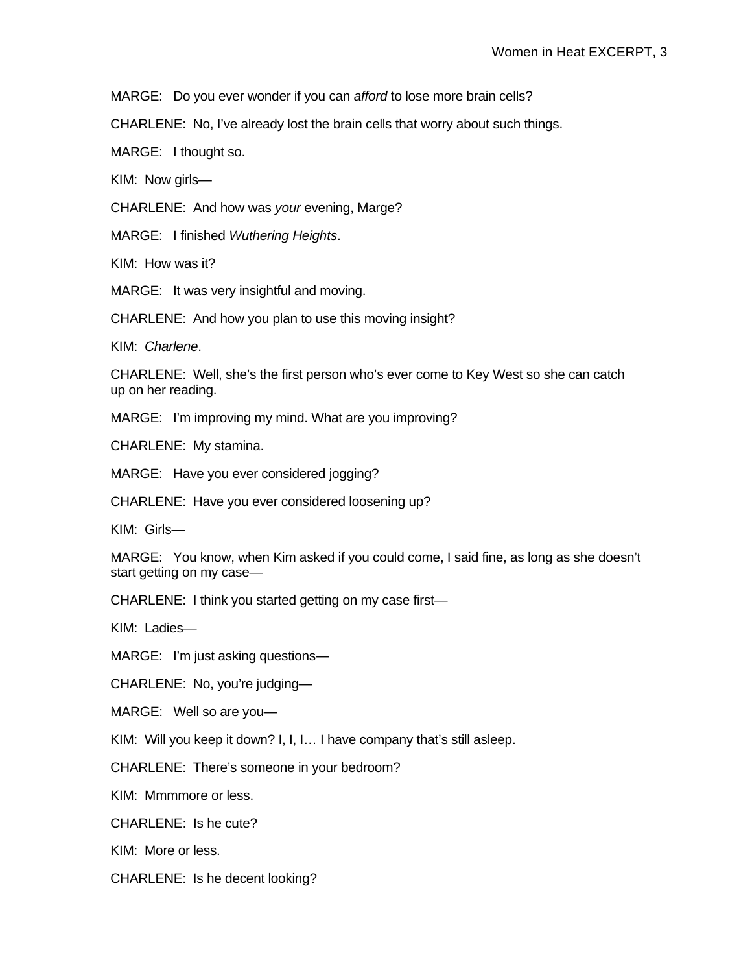MARGE: Do you ever wonder if you can *afford* to lose more brain cells?

CHARLENE: No, I've already lost the brain cells that worry about such things.

MARGE: I thought so.

KIM: Now girls—

CHARLENE: And how was *your* evening, Marge?

MARGE: I finished *Wuthering Heights*.

KIM: How was it?

MARGE: It was very insightful and moving.

CHARLENE: And how you plan to use this moving insight?

KIM: *Charlene*.

CHARLENE: Well, she's the first person who's ever come to Key West so she can catch up on her reading.

MARGE: I'm improving my mind. What are you improving?

CHARLENE: My stamina.

MARGE: Have you ever considered jogging?

CHARLENE: Have you ever considered loosening up?

KIM: Girls—

MARGE: You know, when Kim asked if you could come, I said fine, as long as she doesn't start getting on my case—

CHARLENE: I think you started getting on my case first—

KIM: Ladies—

MARGE: I'm just asking questions—

CHARLENE: No, you're judging—

MARGE: Well so are you—

KIM: Will you keep it down? I, I, I… I have company that's still asleep.

CHARLENE: There's someone in your bedroom?

KIM: Mmmmore or less.

CHARLENE: Is he cute?

KIM: More or less.

CHARLENE: Is he decent looking?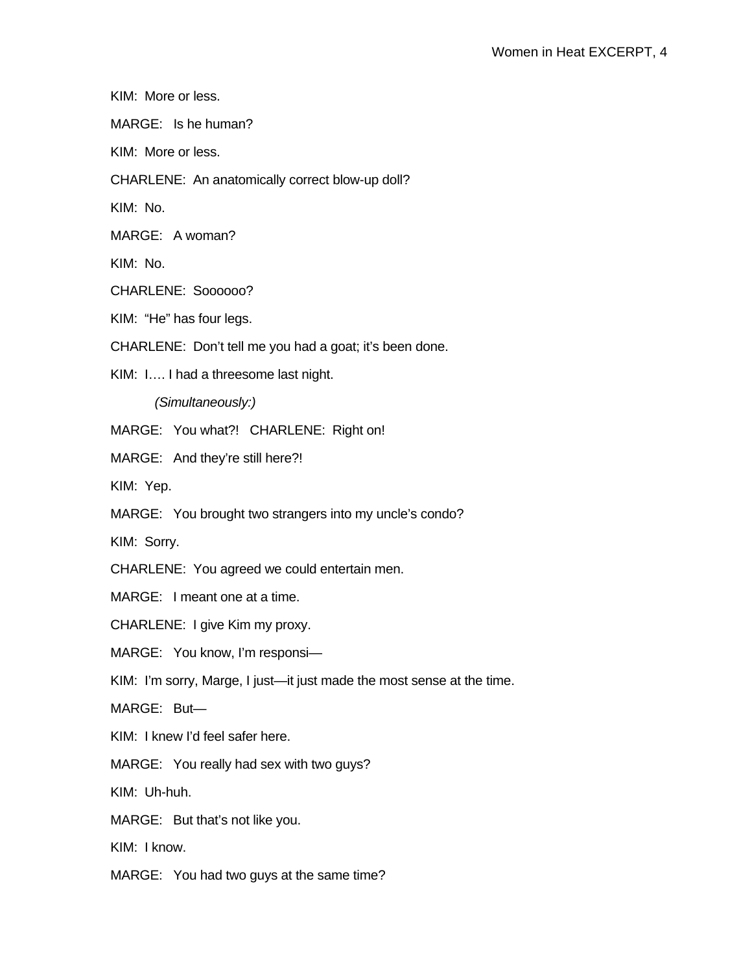```
KIM: More or less.
```
MARGE: Is he human?

KIM: More or less.

CHARLENE: An anatomically correct blow-up doll?

KIM: No.

MARGE: A woman?

KIM: No.

CHARLENE: Soooooo?

KIM: "He" has four legs.

CHARLENE: Don't tell me you had a goat; it's been done.

KIM: I…. I had a threesome last night.

*(Simultaneously:)* 

MARGE: You what?! CHARLENE: Right on!

MARGE: And they're still here?!

KIM: Yep.

MARGE: You brought two strangers into my uncle's condo?

KIM: Sorry.

CHARLENE: You agreed we could entertain men.

MARGE: I meant one at a time.

CHARLENE: I give Kim my proxy.

MARGE: You know, I'm responsi—

KIM: I'm sorry, Marge, I just—it just made the most sense at the time.

MARGE: But—

KIM: I knew I'd feel safer here.

MARGE: You really had sex with two guys?

KIM: Uh-huh.

MARGE: But that's not like you.

KIM: I know.

MARGE: You had two guys at the same time?